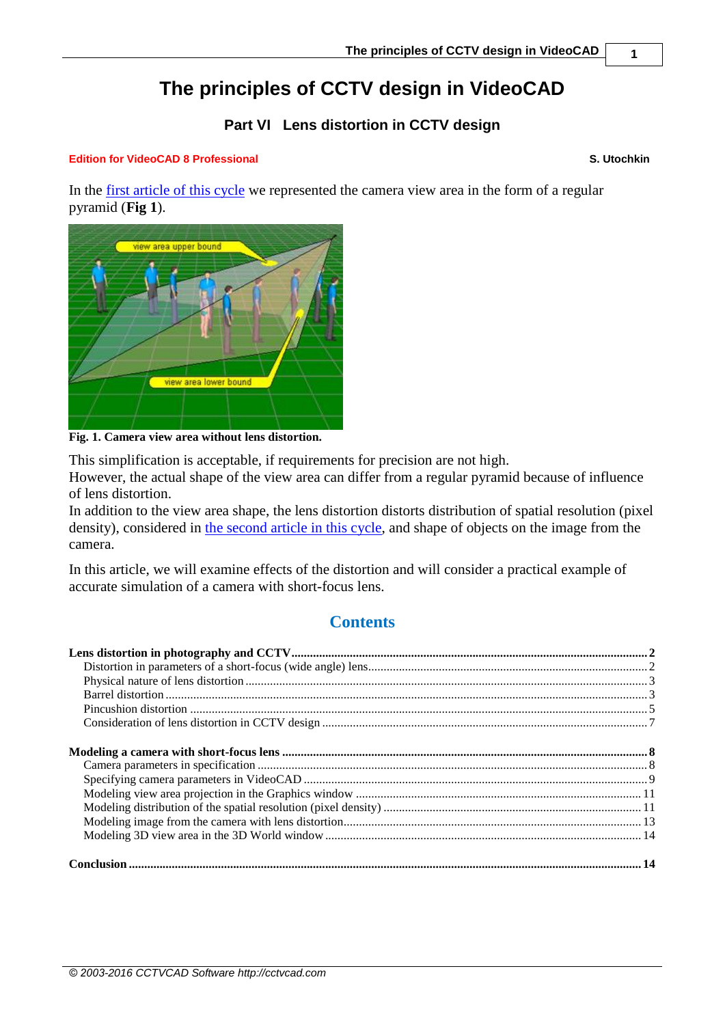# **The principles of CCTV design in VideoCAD**

### **Part VI Lens distortion in CCTV design**

#### **Edition for VideoCAD 8 Professional S. Utochkin**

In the [first article of this](http://www.cctvcad.com/Files/the_principles_of_cctv_design_in_videocad_part1.pdf) cycle we represented the camera view area in the form of a regular pyramid (**Fig 1**).



**Fig. 1. Camera view area without lens distortion.**

This simplification is acceptable, if requirements for precision are not high.

However, the actual shape of the view area can differ from a regular pyramid because of influence of lens distortion.

In addition to the view area shape, the lens distortion distorts distribution of spatial resolution (pixel density), considered in [the second article in this cycle,](http://www.cctvcad.com/Files/the_principles_of_cctv_design_in_videocad_part2.pdf) and shape of objects on the image from the camera.

In this article, we will examine effects of the distortion and will consider a practical example of accurate simulation of a camera with short-focus lens.

## **Contents**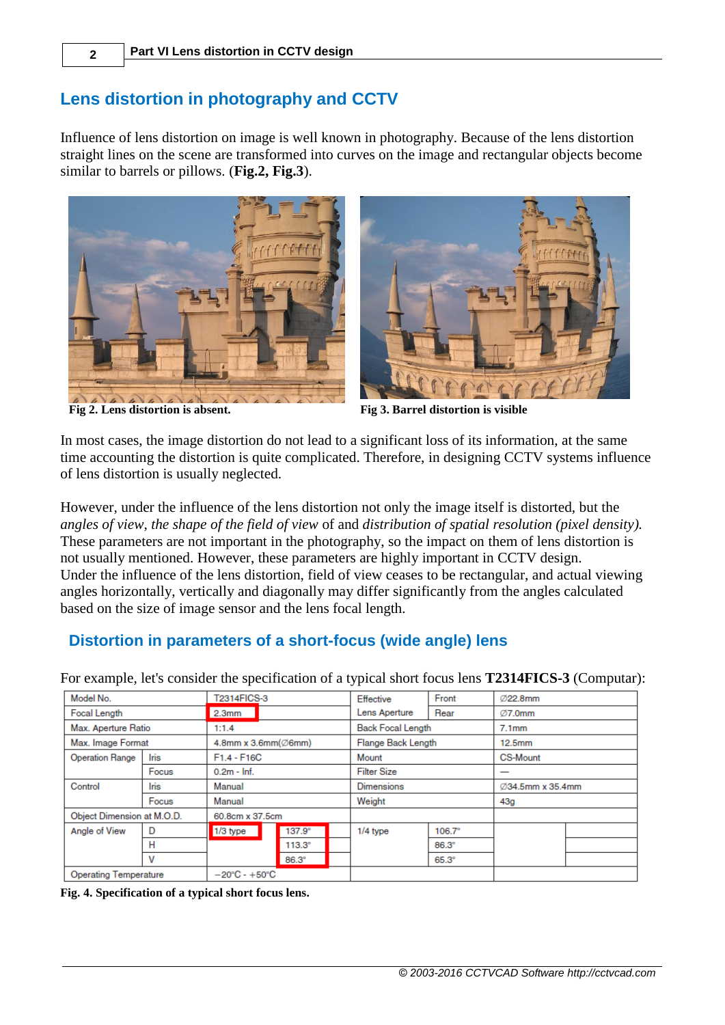## <span id="page-1-0"></span>**Lens distortion in photography and CCTV**

Influence of lens distortion on image is well known in photography. Because of the lens distortion straight lines on the scene are transformed into curves on the image and rectangular objects become similar to barrels or pillows. (**Fig.2, Fig.3**).







**Fig 2. Lens distortion is absent. Fig 3. Barrel distortion is visible**

In most cases, the image distortion do not lead to a significant loss of its information, at the same time accounting the distortion is quite complicated. Therefore, in designing CCTV systems influence of lens distortion is usually neglected.

However, under the influence of the lens distortion not only the image itself is distorted, but the *angles of view*, *the shape of the field of view* of and *distribution of spatial resolution (pixel density).* These parameters are not important in the photography, so the impact on them of lens distortion is not usually mentioned. However, these parameters are highly important in CCTV design. Under the influence of the lens distortion, field of view ceases to be rectangular, and actual viewing angles horizontally, vertically and diagonally may differ significantly from the angles calculated based on the size of image sensor and the lens focal length.

## <span id="page-1-1"></span>**Distortion in parameters of a short-focus (wide angle) lens**

For example, let's consider the specification of a typical short focus lens **T2314FICS-3** (Computar):

| Model No.                  | T2314FICS-3 |                                 |  |                   | Effective                | Front            | Ø22.8mm           |  |  |
|----------------------------|-------------|---------------------------------|--|-------------------|--------------------------|------------------|-------------------|--|--|
| Focal Length               |             | 2.3 <sub>mm</sub>               |  | Lens Aperture     | Rear                     | Ø7.0mm           |                   |  |  |
| Max. Aperture Ratio        |             | 1:1.4                           |  |                   | <b>Back Focal Length</b> |                  | 7.1 <sub>mm</sub> |  |  |
| Max. Image Format          |             | 4.8mm x 3.6mm $(\emptyset$ 6mm) |  |                   | Flange Back Length       |                  | 12.5mm            |  |  |
| <b>Operation Range</b>     | Iris        | $F1.4 - F16C$                   |  | Mount             |                          | <b>CS-Mount</b>  |                   |  |  |
|                            | Focus       | $0.2m - lnf$ .                  |  |                   | <b>Filter Size</b>       |                  | –                 |  |  |
| Control                    | Iris        | Manual                          |  | <b>Dimensions</b> |                          | Ø34.5mm x 35.4mm |                   |  |  |
|                            | Focus       | Manual                          |  | Weight            |                          | 43g              |                   |  |  |
| Object Dimension at M.O.D. |             | 60.8cm x 37.5cm                 |  |                   |                          |                  |                   |  |  |
| Angle of View              | D           | $1/3$ type                      |  | $137.9^{\circ}$   |                          | $1/4$ type       | $106.7^{\circ}$   |  |  |
|                            | н           |                                 |  | $113.3^\circ$     |                          |                  | $86.3^\circ$      |  |  |
|                            | ٧           |                                 |  | 86.3°             |                          |                  | $65.3^\circ$      |  |  |
| Operating Temperature      |             | $-20^{\circ}C - +50^{\circ}C$   |  |                   |                          |                  |                   |  |  |

**Fig. 4. Specification of a typical short focus lens.**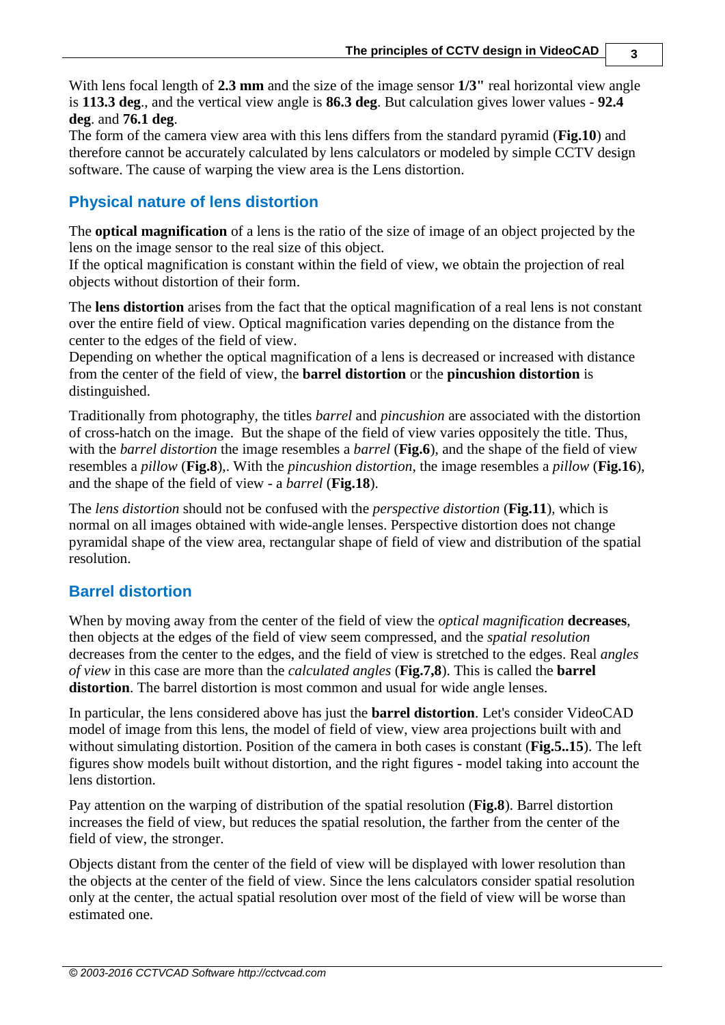With lens focal length of **2.3 mm** and the size of the image sensor **1/3"** real horizontal view angle is **113.3 deg**., and the vertical view angle is **86.3 deg**. But calculation gives lower values - **92.4 deg**. and **76.1 deg**.

The form of the camera view area with this lens differs from the standard pyramid (**Fig.10**) and therefore cannot be accurately calculated by lens calculators or modeled by simple CCTV design software. The cause of warping the view area is the Lens distortion.

### <span id="page-2-0"></span>**Physical nature of lens distortion**

The **optical magnification** of a lens is the ratio of the size of image of an object projected by the lens on the image sensor to the real size of this object.

If the optical magnification is constant within the field of view, we obtain the projection of real objects without distortion of their form.

The **lens distortion** arises from the fact that the optical magnification of a real lens is not constant over the entire field of view. Optical magnification varies depending on the distance from the center to the edges of the field of view.

Depending on whether the optical magnification of a lens is decreased or increased with distance from the center of the field of view, the **barrel distortion** or the **pincushion distortion** is distinguished.

Traditionally from photography, the titles *barrel* and *pincushion* are associated with the distortion of cross-hatch on the image. But the shape of the field of view varies oppositely the title. Thus, with the *barrel distortion* the image resembles a *barrel* (**Fig.6**), and the shape of the field of view resembles a *pillow* (**Fig.8**),. With the *pincushion distortion*, the image resembles a *pillow* (**Fig.16**), and the shape of the field of view - a *barrel* (**Fig.18**).

The *lens distortion* should not be confused with the *perspective distortion* (**Fig.11**), which is normal on all images obtained with wide-angle lenses. Perspective distortion does not change pyramidal shape of the view area, rectangular shape of field of view and distribution of the spatial resolution.

## <span id="page-2-1"></span>**Barrel distortion**

When by moving away from the center of the field of view the *optical magnification* **decreases**, then objects at the edges of the field of view seem compressed, and the *spatial resolution* decreases from the center to the edges, and the field of view is stretched to the edges. Real *angles of view* in this case are more than the *calculated angles* (**Fig.7,8**). This is called the **barrel distortion**. The barrel distortion is most common and usual for wide angle lenses.

In particular, the lens considered above has just the **barrel distortion**. Let's consider VideoCAD model of image from this lens, the model of field of view, view area projections built with and without simulating distortion. Position of the camera in both cases is constant (**Fig.5..15**). The left figures show models built without distortion, and the right figures - model taking into account the lens distortion.

Pay attention on the warping of distribution of the spatial resolution (**Fig.8**). Barrel distortion increases the field of view, but reduces the spatial resolution, the farther from the center of the field of view, the stronger.

Objects distant from the center of the field of view will be displayed with lower resolution than the objects at the center of the field of view. Since the lens calculators consider spatial resolution only at the center, the actual spatial resolution over most of the field of view will be worse than estimated one.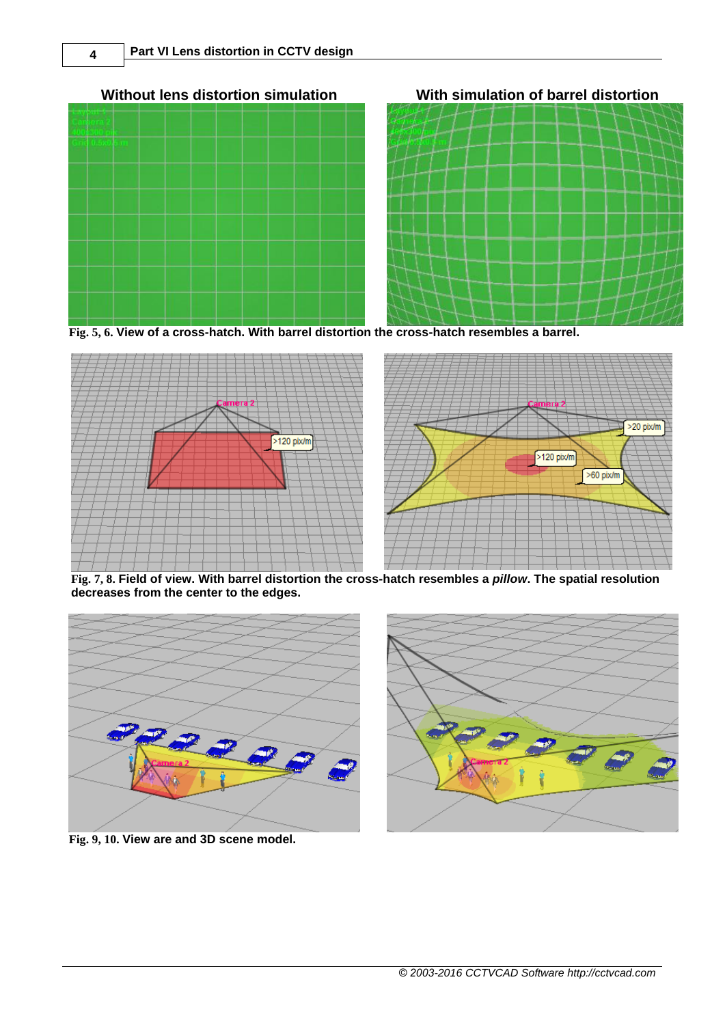



**Fig. 5, 6. View of a cross-hatch. With barrel distortion the cross-hatch resembles a barrel.**



**Fig. 7, 8. Field of view. With barrel distortion the cross-hatch resembles a** *pillow***. The spatial resolution decreases from the center to the edges.**



**Fig. 9, 10. View are and 3D scene model.**



**Without lens distortion simulation With simulation of barrel distortion**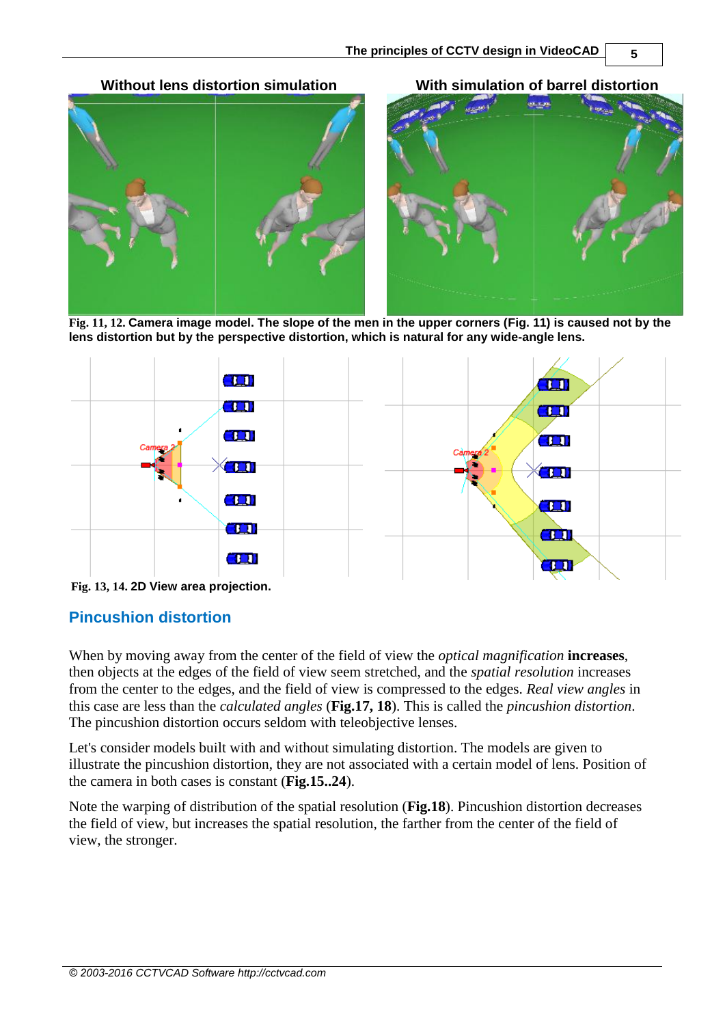**Without lens distortion simulation With simulation of barrel distortion**



**Fig. 11, 12. Camera image model. The slope of the men in the upper corners (Fig. 11) is caused not by the lens distortion but by the perspective distortion, which is natural for any wide-angle lens.**



<span id="page-4-0"></span>**Fig. 13, 14. 2D View area projection.**

#### **Pincushion distortion**

When by moving away from the center of the field of view the *optical magnification* **increases**, then objects at the edges of the field of view seem stretched, and the *spatial resolution* increases from the center to the edges, and the field of view is compressed to the edges. *Real view angles* in this case are less than the *calculated angles* (**Fig.17, 18**). This is called the *pincushion distortion*. The pincushion distortion occurs seldom with teleobjective lenses.

Let's consider models built with and without simulating distortion. The models are given to illustrate the pincushion distortion, they are not associated with a certain model of lens. Position of the camera in both cases is constant (**Fig.15..24**).

Note the warping of distribution of the spatial resolution (**Fig.18**). Pincushion distortion decreases the field of view, but increases the spatial resolution, the farther from the center of the field of view, the stronger.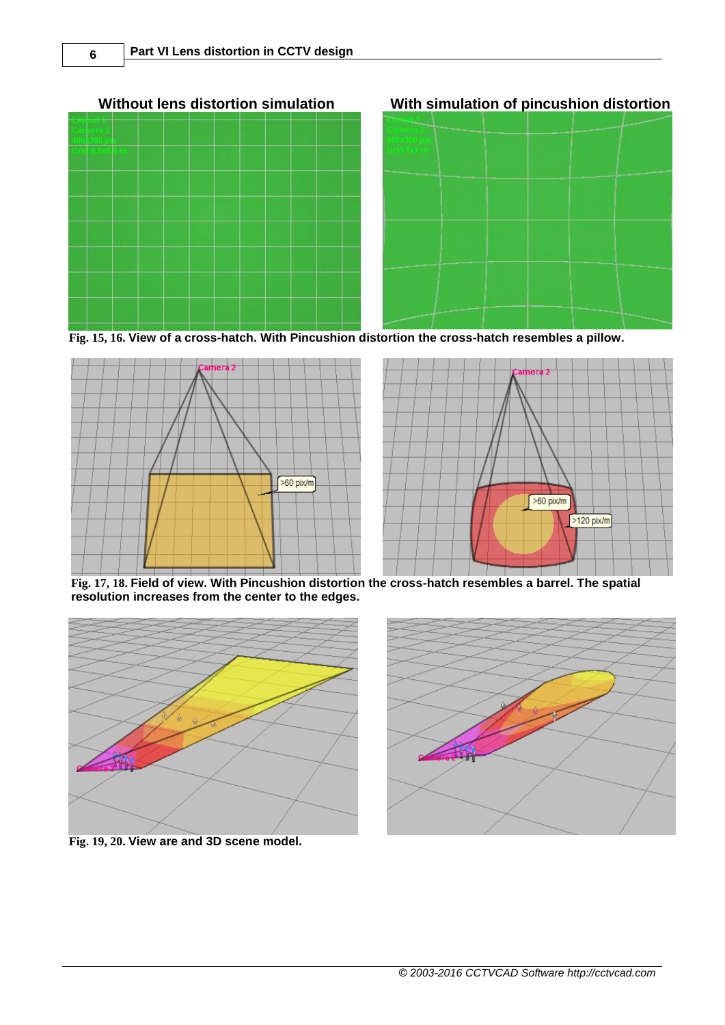



**Fig. 15, 16. View of a cross-hatch. With Pincushion distortion the cross-hatch resembles a pillow.**





**Fig. 17, 18. Field of view. With Pincushion distortion the cross-hatch resembles a barrel. The spatial resolution increases from the center to the edges.**



**Fig. 19, 20. View are and 3D scene model.**



**Without lens distortion simulation With simulation of pincushion distortion**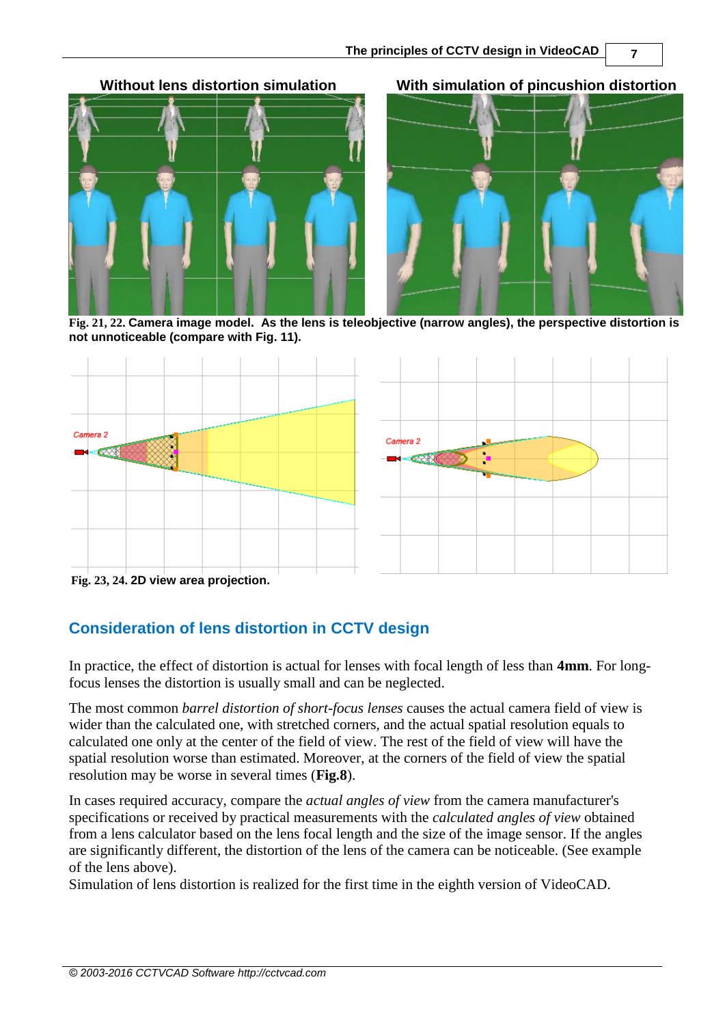**Without lens distortion simulation With simulation of pincushion distortion**



**Fig. 21, 22. Camera image model. As the lens is teleobjective (narrow angles), the perspective distortion is not unnoticeable (compare with Fig. 11).**



**Fig. 23, 24. 2D view area projection.**

## <span id="page-6-0"></span>**Consideration of lens distortion in CCTV design**

In practice, the effect of distortion is actual for lenses with focal length of less than **4mm**. For longfocus lenses the distortion is usually small and can be neglected.

The most common *barrel distortion of short-focus lenses* causes the actual camera field of view is wider than the calculated one, with stretched corners, and the actual spatial resolution equals to calculated one only at the center of the field of view. The rest of the field of view will have the spatial resolution worse than estimated. Moreover, at the corners of the field of view the spatial resolution may be worse in several times (**Fig.8**).

In cases required accuracy, compare the *actual angles of view* from the camera manufacturer's specifications or received by practical measurements with the *calculated angles of view* obtained from a lens calculator based on the lens focal length and the size of the image sensor. If the angles are significantly different, the distortion of the lens of the camera can be noticeable. (See example of the lens above).

Simulation of lens distortion is realized for the first time in the eighth version of VideoCAD.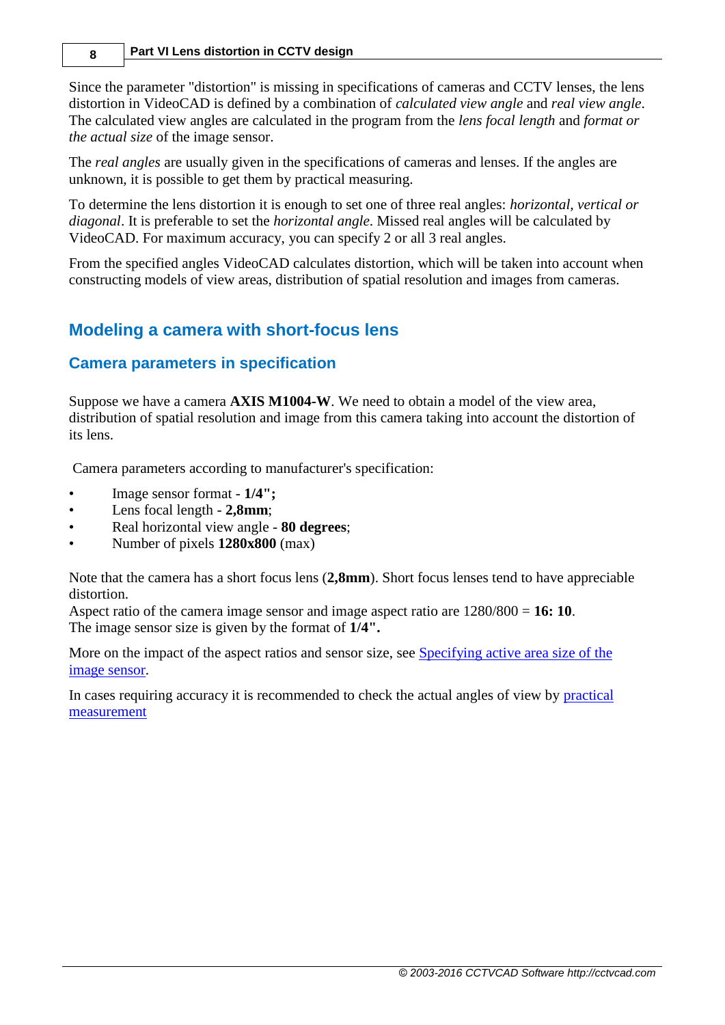#### **8 Part VI Lens distortion in CCTV design**

Since the parameter "distortion" is missing in specifications of cameras and CCTV lenses, the lens distortion in VideoCAD is defined by a combination of *calculated view angle* and *real view angle*. The calculated view angles are calculated in the program from the *lens focal length* and *format or the actual size* of the image sensor.

The *real angles* are usually given in the specifications of cameras and lenses. If the angles are unknown, it is possible to get them by practical measuring.

To determine the lens distortion it is enough to set one of three real angles: *horizontal, vertical or diagonal*. It is preferable to set the *horizontal angle*. Missed real angles will be calculated by VideoCAD. For maximum accuracy, you can specify 2 or all 3 real angles.

From the specified angles VideoCAD calculates distortion, which will be taken into account when constructing models of view areas, distribution of spatial resolution and images from cameras.

## <span id="page-7-0"></span>**Modeling a camera with short-focus lens**

### <span id="page-7-1"></span>**Camera parameters in specification**

Suppose we have a camera **AXIS M1004-W**. We need to obtain a model of the view area, distribution of spatial resolution and image from this camera taking into account the distortion of its lens.

Camera parameters according to manufacturer's specification:

- Image sensor format **1/4";**
- Lens focal length **2,8mm**;
- Real horizontal view angle **80 degrees**;
- Number of pixels **1280x800** (max)

Note that the camera has a short focus lens (**2,8mm**). Short focus lenses tend to have appreciable distortion.

Aspect ratio of the camera image sensor and image aspect ratio are 1280/800 = **16: 10**. The image sensor size is given by the format of **1/4".**

More on the impact of the aspect ratios and sensor size, see [Specifying active area size of the](http://cctvcad.com/videocad_help/index.html?prim_sensor_size.htm)  [image sensor.](http://cctvcad.com/videocad_help/index.html?prim_sensor_size.htm)

In cases requiring accuracy it is recommended to check the actual angles of view by [practical](http://cctvcad.com/videocad_help/index.html?prim_factlensangles.htm)  [measurement](http://cctvcad.com/videocad_help/index.html?prim_factlensangles.htm)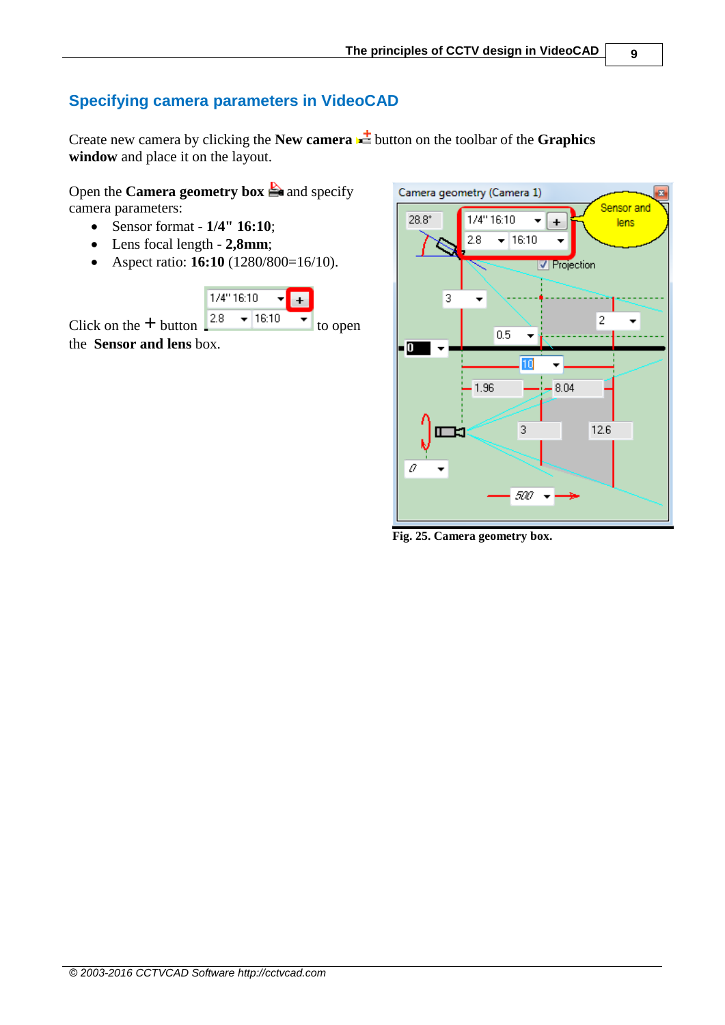## <span id="page-8-0"></span>**Specifying camera parameters in VideoCAD**

Create new camera by clicking the **New camera**  $\frac{1}{\sqrt{2}}$  button on the toolbar of the **Graphics window** and place it on the layout.

Open the **Camera geometry box** and specify camera parameters:

- Sensor format **1/4" 16:10**;
- Lens focal length **2,8mm**;
- Aspect ratio: **16:10** (1280/800=16/10).





**Fig. 25. Camera geometry box.**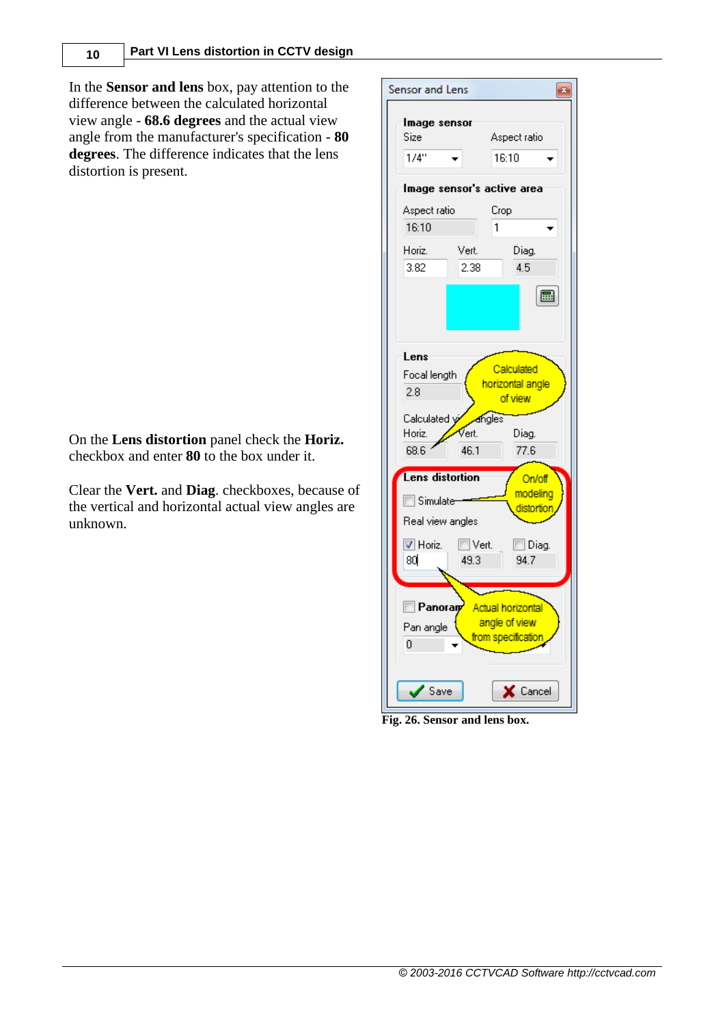In the **Sensor and lens** box, pay attention to the difference between the calculated horizontal view angle - **68.6 degrees** and the actual view angle from the manufacturer's specification - **80 degrees**. The difference indicates that the lens distortion is present.

On the **Lens distortion** panel check the **Horiz.** checkbox and enter **80** to the box under it.

Clear the **Vert.** and **Diag**. checkboxes, because of the vertical and horizontal actual view angles are unknown.



**Fig. 26. Sensor and lens box.**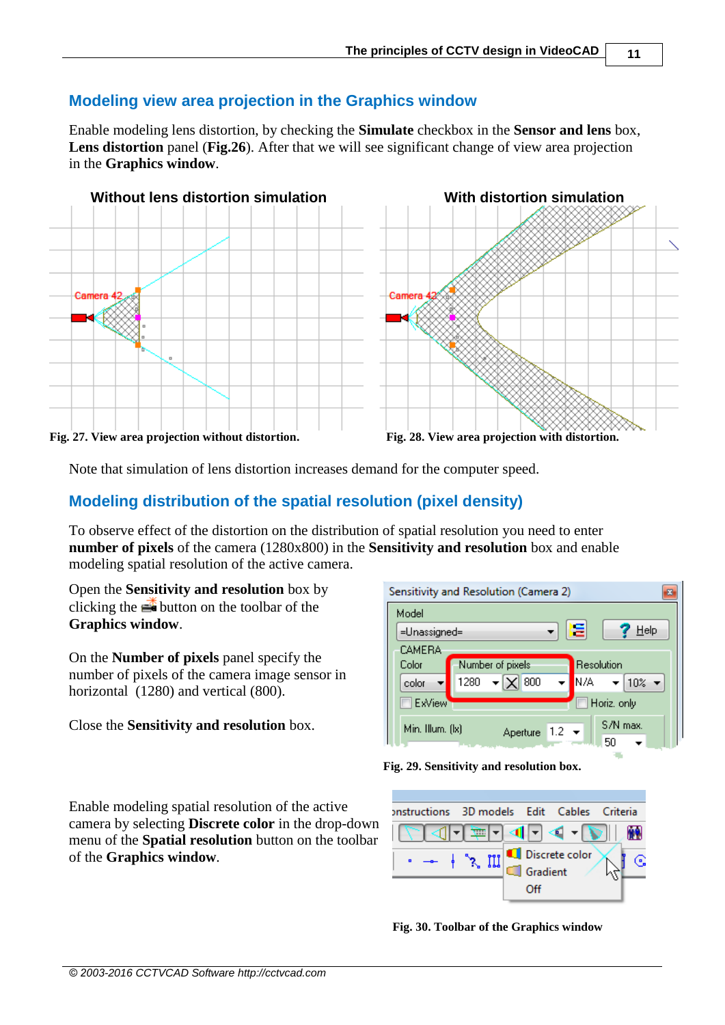## <span id="page-10-0"></span>**Modeling view area projection in the Graphics window**

Enable modeling lens distortion, by checking the **Simulate** checkbox in the **Sensor and lens** box, Lens distortion panel (Fig. 26). After that we will see significant change of view area projection in the **Graphics window**.



Note that simulation of lens distortion increases demand for the computer speed.

## <span id="page-10-1"></span>**Modeling distribution of the spatial resolution (pixel density)**

To observe effect of the distortion on the distribution of spatial resolution you need to enter **number of pixels** of the camera (1280x800) in the **Sensitivity and resolution** box and enable modeling spatial resolution of the active camera.

Open the **Sensitivity and resolution** box by clicking the  $\mathbb{R}$  button on the toolbar of the **Graphics window**.

On the **Number of pixels** panel specify the number of pixels of the camera image sensor in horizontal (1280) and vertical (800).

#### Close the **Sensitivity and resolution** box.

|                  | Sensitivity and Resolution (Camera 2) |                           |                                               |
|------------------|---------------------------------------|---------------------------|-----------------------------------------------|
| Model            |                                       |                           |                                               |
| =Unassigned=     |                                       | E                         | He                                            |
| CAMERA           |                                       |                           |                                               |
| Color            | Number of pixels                      |                           | Resolution                                    |
| color            | $\mathbf{E}$ $\mathbf{X}$ 800<br>1280 | N/A -                     | $\blacktriangledown$ 10% $\blacktriangledown$ |
| <b>ExView</b>    |                                       |                           | Horiz, only                                   |
| Min. Illum. (lx) |                                       | Aperture 1.2 <del>▼</del> | S/N max.<br>50                                |



Enable modeling spatial resolution of the active camera by selecting **Discrete color** in the drop-down menu of the **Spatial resolution** button on the toolbar of the **Graphics window**.



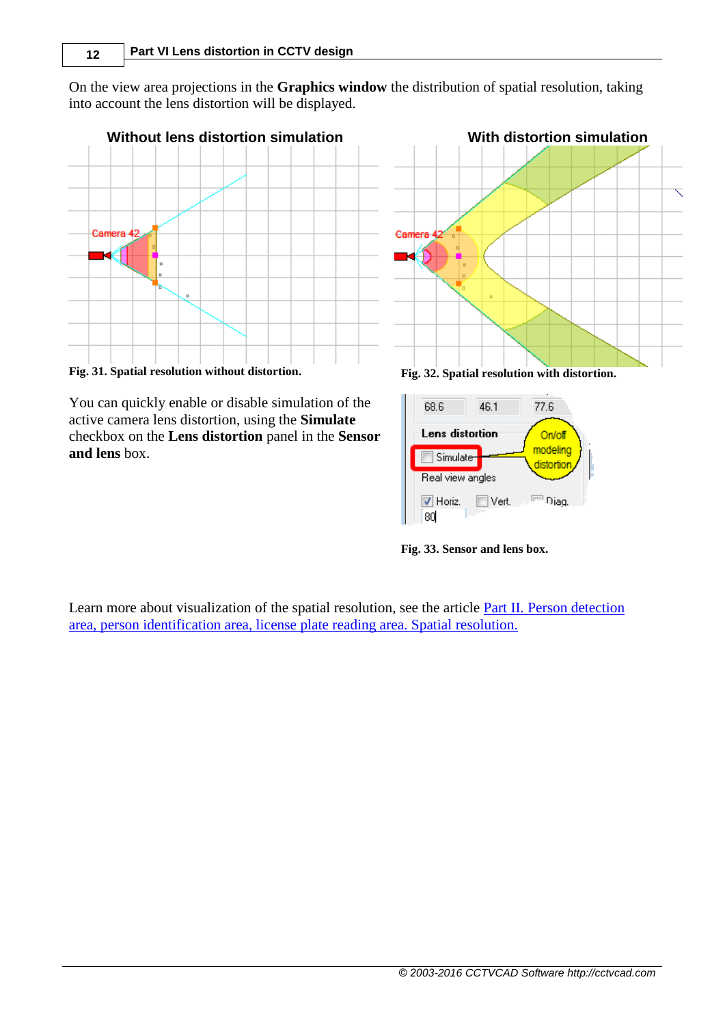On the view area projections in the **Graphics window** the distribution of spatial resolution, taking into account the lens distortion will be displayed.



**Fig. 31. Spatial resolution without distortion. Fig. 32. Spatial resolution with distortion.**

You can quickly enable or disable simulation of the active camera lens distortion, using the **Simulate** checkbox on the **Lens distortion** panel in the **Sensor and lens** box.





**Fig. 33. Sensor and lens box.**

Learn more about visualization of the spatial resolution, see the article [Part II. Person detection](http://www.cctvcad.com/Files/the_principles_of_cctv_design_in_videocad_part2.pdf)  [area, person identification area, license plate reading area. Spatial resolution.](http://www.cctvcad.com/Files/the_principles_of_cctv_design_in_videocad_part2.pdf)

*© 2003-2016 CCTVCAD Software http://cctvcad.com*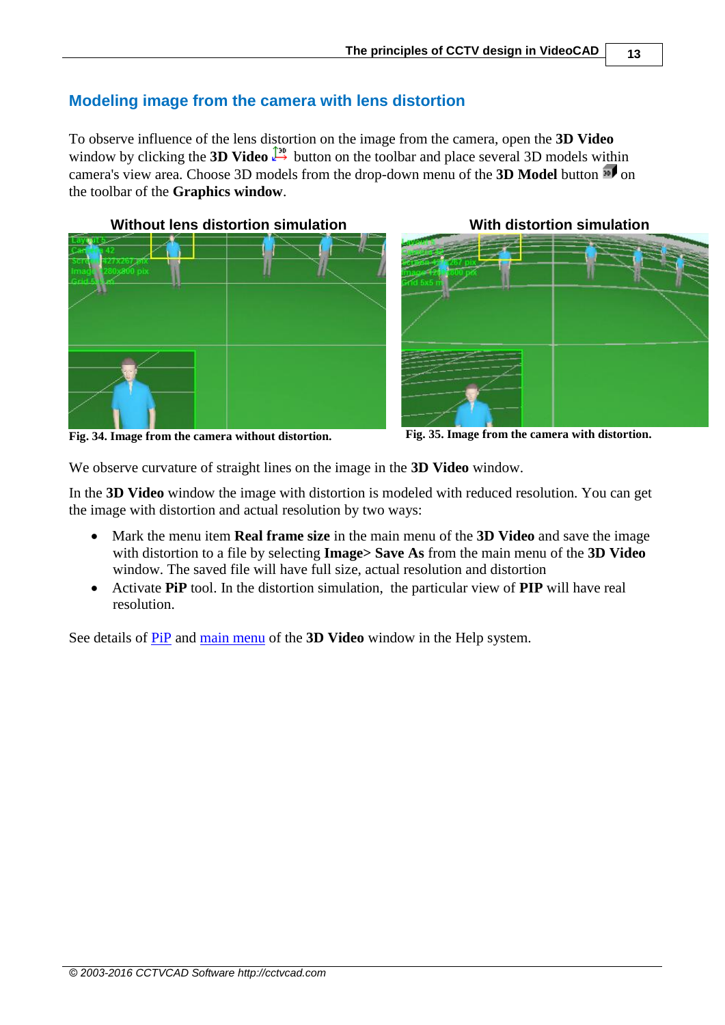## <span id="page-12-0"></span>**Modeling image from the camera with lens distortion**

To observe influence of the lens distortion on the image from the camera, open the **3D Video** window by clicking the **3D Video**  $\downarrow^2$  button on the toolbar and place several 3D models within camera's view area. Choose 3D models from the drop-down menu of the **3D Model** button <sup>30</sup> on the toolbar of the **Graphics window**.





**Fig. 34. Image from the camera without distortion. Fig. 35. Image from the camera with distortion.**

We observe curvature of straight lines on the image in the **3D Video** window.

In the **3D Video** window the image with distortion is modeled with reduced resolution. You can get the image with distortion and actual resolution by two ways:

- Mark the menu item **Real frame size** in the main menu of the **3D Video** and save the image with distortion to a file by selecting **Image> Save As** from the main menu of the **3D Video** window. The saved file will have full size, actual resolution and distortion
- Activate **PiP** tool. In the distortion simulation, the particular view of **PIP** will have real resolution.

See details of [PiP](http://cctvcad.com/videocad_help/index.html?pip.htm) and [main menu](http://cctvcad.com/videocad_help/index.html?main3dwindow.htm) of the **3D Video** window in the Help system.